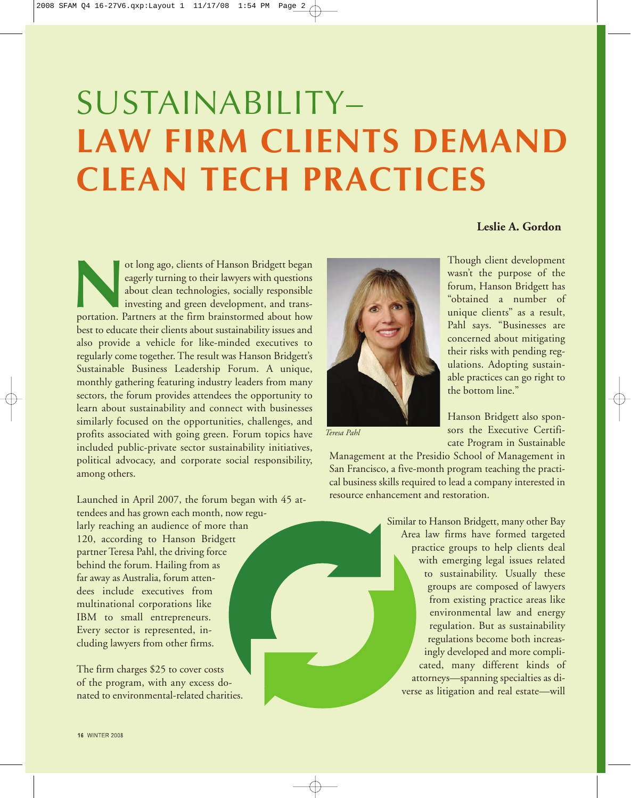## SUSTAINABILITY– **LAW FIRM CLIENTS DEMAND CLEAN TECH PRACTICES**

## ot long ago, clients of Hanson Bridgett began eagerly turning to their lawyers with questions about clean technologies, socially responsible investing and green development, and transportation. Partners at the firm brainst eagerly turning to their lawyers with questions about clean technologies, socially responsible investing and green development, and transbest to educate their clients about sustainability issues and also provide a vehicle for like-minded executives to regularly come together. The result was Hanson Bridgett's Sustainable Business Leadership Forum. A unique, monthly gathering featuring industry leaders from many sectors, the forum provides attendees the opportunity to learn about sustainability and connect with businesses similarly focused on the opportunities, challenges, and profits associated with going green. Forum topics have included public-private sector sustainability initiatives, political advocacy, and corporate social responsibility, among others.

Launched in April 2007, the forum began with 45 attendees and has grown each month, now regularly reaching an audience of more than 120, according to Hanson Bridgett partner Teresa Pahl, the driving force behind the forum. Hailing from as far away as Australia, forum attendees include executives from multinational corporations like IBM to small entrepreneurs. Every sector is represented, including lawyers from other firms.

The firm charges \$25 to cover costs of the program, with any excess donated to environmental-related charities.



*Teresa Pahl*

**Leslie A. Gordon**

Though client development wasn't the purpose of the forum, Hanson Bridgett has "obtained a number of unique clients" as a result, Pahl says. "Businesses are concerned about mitigating their risks with pending regulations. Adopting sustainable practices can go right to the bottom line."

Hanson Bridgett also sponsors the Executive Certificate Program in Sustainable

Management at the Presidio School of Management in San Francisco, a five-month program teaching the practical business skills required to lead a company interested in resource enhancement and restoration.

> Similar to Hanson Bridgett, many other Bay Area law firms have formed targeted practice groups to help clients deal with emerging legal issues related to sustainability. Usually these groups are composed of lawyers from existing practice areas like environmental law and energy regulation. But as sustainability regulations become both increasingly developed and more complicated, many different kinds of attorneys—spanning specialties as diverse as litigation and real estate—will